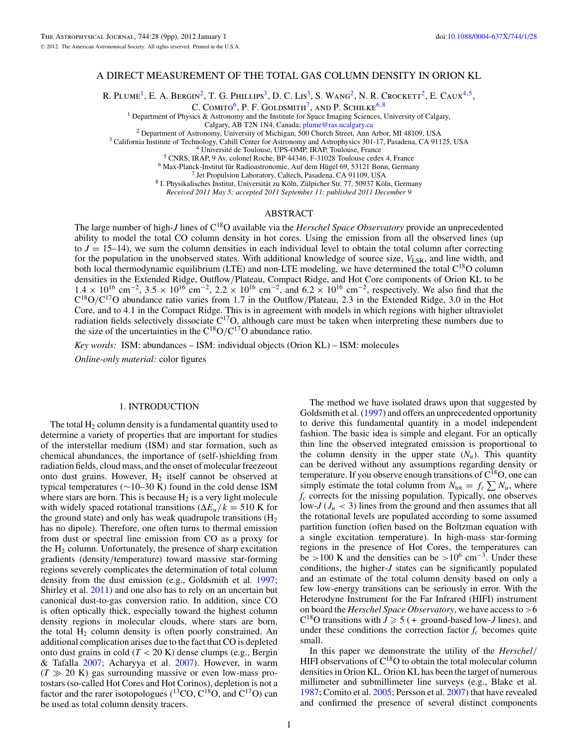# A DIRECT MEASUREMENT OF THE TOTAL GAS COLUMN DENSITY IN ORION KL

R. PLUME<sup>1</sup>, E. A. BERGIN<sup>2</sup>, T. G. PHILLIPS<sup>3</sup>, D. C. LIS<sup>3</sup>, S. WANG<sup>2</sup>, N. R. CROCKETT<sup>2</sup>, E. CAUX<sup>4,5</sup>,

C. COMITO<sup>6</sup>, P. F. GOLDSMITH<sup>7</sup>, AND P. SCHILKE<sup>6,8</sup>

<sup>1</sup> Department of Physics & Astronomy and the Institute for Space Imaging Sciences, University of Calgary, Calgary, AB T2N 1N4, Canada;  $\frac{plume@ras.ucalgary.ca}{plume@ras.ucalgary.ca}$ 

<sup>2</sup> Department of Astronomy, University of Michigan, 500 Church Street, Ann Arbor, MI 48109, USA<br>
<sup>4</sup> University of Michigan, 500 Church Street, Ann Arbor, MI 48109, USA<br>
<sup>4</sup> Université de Toulouse, UPS-OMP, IRAP, Toulous

*Received 2011 May 5; accepted 2011 September 11; published 2011 December 9*

## ABSTRACT

The large number of high-*J* lines of C18O available via the *Herschel Space Observatory* provide an unprecedented ability to model the total CO column density in hot cores. Using the emission from all the observed lines (up to  $J = 15-14$ ), we sum the column densities in each individual level to obtain the total column after correcting for the population in the unobserved states. With additional knowledge of source size,  $V_{LSR}$ , and line width, and both local thermodynamic equilibrium (LTE) and non-LTE modeling, we have determined the total C<sup>18</sup>O column densities in the Extended Ridge, Outflow*/*Plateau, Compact Ridge, and Hot Core components of Orion KL to be  $1.4 \times 10^{16}$  cm<sup>-2</sup>,  $3.5 \times 10^{16}$  cm<sup>-2</sup>,  $2.2 \times 10^{16}$  cm<sup>-2</sup>, and  $6.2 \times 10^{16}$  cm<sup>-2</sup>, respectively. We also find that the  $C^{18}O/C^{17}O$  abundance ratio varies from 1.7 in the Outflow/Plateau, 2.3 in the Extended Ridge, 3.0 in the Hot Core, and to 4.1 in the Compact Ridge. This is in agreement with models in which regions with higher ultraviolet radiation fields selectively dissociate  $C^{17}O$ , although care must be taken when interpreting these numbers due to the size of the uncertainties in the C18O*/*C17O abundance ratio.

*Key words:* ISM: abundances – ISM: individual objects (Orion KL) – ISM: molecules

*Online-only material:* color figures

#### 1. INTRODUCTION

The total  $H_2$  column density is a fundamental quantity used to determine a variety of properties that are important for studies of the interstellar medium (ISM) and star formation, such as chemical abundances, the importance of (self-)shielding from radiation fields, cloud mass, and the onset of molecular freezeout onto dust grains. However,  $H_2$  itself cannot be observed at typical temperatures (∼10–30 K) found in the cold dense ISM where stars are born. This is because  $H_2$  is a very light molecule with widely spaced rotational transitions ( $\Delta E_u/k = 510$  K for the ground state) and only has weak quadrupole transitions  $(H<sub>2</sub>)$ has no dipole). Therefore, one often turns to thermal emission from dust or spectral line emission from CO as a proxy for the  $H_2$  column. Unfortunately, the presence of sharp excitation gradients (density*/*temperature) toward massive star-forming regions severely complicates the determination of total column density from the dust emission (e.g., Goldsmith et al. [1997;](#page-8-0) Shirley et al. [2011\)](#page-8-0) and one also has to rely on an uncertain but canonical dust-to-gas conversion ratio. In addition, since CO is often optically thick, especially toward the highest column density regions in molecular clouds, where stars are born, the total  $H_2$  column density is often poorly constrained. An additional complication arises due to the fact that CO is depleted onto dust grains in cold (*T <* 20 K) dense clumps (e.g., Bergin & Tafalla [2007;](#page-8-0) Acharyya et al. [2007\)](#page-8-0). However, in warm  $(T \gg 20 \text{ K})$  gas surrounding massive or even low-mass protostars (so-called Hot Cores and Hot Corinos), depletion is not a factor and the rarer isotopologues  $(^{13}CO, C^{18}O,$  and  $C^{17}O$ ) can be used as total column density tracers.

The method we have isolated draws upon that suggested by Goldsmith et al. [\(1997\)](#page-8-0) and offers an unprecedented opportunity to derive this fundamental quantity in a model independent fashion. The basic idea is simple and elegant. For an optically thin line the observed integrated emission is proportional to the column density in the upper state  $(N_u)$ . This quantity can be derived without any assumptions regarding density or temperature. If you observe enough transitions of  $C^{18}O$ , one can simply estimate the total column from  $N_{\text{tot}} = f_c \sum N_u$ , where *fc* corrects for the missing population. Typically, one observes low- $J(J_u < 3)$  lines from the ground and then assumes that all the rotational levels are populated according to some assumed partition function (often based on the Boltzman equation with a single excitation temperature). In high-mass star-forming regions in the presence of Hot Cores, the temperatures can be *>*100 K and the densities can be *>*106 cm−3. Under these conditions, the higher-*J* states can be significantly populated and an estimate of the total column density based on only a few low-energy transitions can be seriously in error. With the Heterodyne Instrument for the Far Infrared (HIFI) instrument on board the *Herschel Space Observatory*, we have access to *>*6  $C^{18}$ O transitions with  $J \ge 5$  (+ ground-based low-*J* lines), and under these conditions the correction factor  $f_c$  becomes quite small.

In this paper we demonstrate the utility of the *Herschel/* HIFI observations of  $C^{18}O$  to obtain the total molecular column densities in Orion KL. Orion KL has been the target of numerous millimeter and submillimeter line surveys (e.g., Blake et al. [1987;](#page-8-0) Comito et al. [2005;](#page-8-0) Persson et al. [2007\)](#page-8-0) that have revealed and confirmed the presence of several distinct components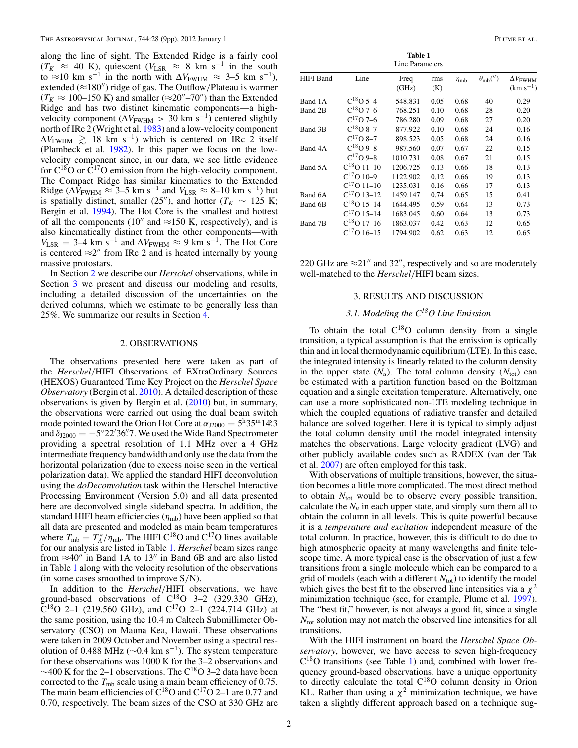along the line of sight. The Extended Ridge is a fairly cool  $(T_K \approx 40 \text{ K})$ , quiescent ( $V_{LSR} \approx 8 \text{ km s}^{-1}$  in the south to  $\approx$ 10 km s<sup>-1</sup> in the north with  $\Delta V_{\text{FWHM}} \approx 3-5$  km s<sup>-1</sup>), extended (≈180") ridge of gas. The Outflow/Plateau is warmer  $(T_K \approx 100-150 \text{ K})$  and smaller ( $\approx 20''-70''$ ) than the Extended Ridge and has two distinct kinematic components—a highvelocity component ( $\Delta V_{\text{FWHM}} > 30 \text{ km s}^{-1}$ ) centered slightly north of IRc 2 (Wright et al. [1983\)](#page-8-0) and a low-velocity component  $\Delta V_{\text{FWHM}} \gtrsim 18 \text{ km s}^{-1}$ ) which is centered on IRc 2 itself (Plambeck et al. [1982\)](#page-8-0). In this paper we focus on the lowvelocity component since, in our data, we see little evidence for  $C^{18}O$  or  $\overline{C}^{17}O$  emission from the high-velocity component. The Compact Ridge has similar kinematics to the Extended Ridge ( $\Delta V_{\text{FWHM}} \approx 3-5$  km s<sup>-1</sup> and  $V_{\text{LSR}} \approx 8-10$  km s<sup>-1</sup>) but is spatially distinct, smaller (25<sup>"</sup>), and hotter ( $T_K \sim 125$  K; Bergin et al. [1994\)](#page-8-0). The Hot Core is the smallest and hottest of all the components (10" and  $\approx$ 150 K, respectively), and is also kinematically distinct from the other components—with  $V_{\text{LSR}} = 3-4 \text{ km s}^{-1}$  and  $\Delta V_{\text{FWHM}} \approx 9 \text{ km s}^{-1}$ . The Hot Core is centered  $\approx 2$ " from IRc 2 and is heated internally by young massive protostars.

In Section 2 we describe our *Herschel* observations, while in Section 3 we present and discuss our modeling and results, including a detailed discussion of the uncertainties on the derived columns, which we estimate to be generally less than 25%. We summarize our results in Section [4.](#page-7-0)

#### 2. OBSERVATIONS

The observations presented here were taken as part of the *Herschel/*HIFI Observations of EXtraOrdinary Sources (HEXOS) Guaranteed Time Key Project on the *Herschel Space Observatory* (Bergin et al. [2010\)](#page-8-0). A detailed description of these observations is given by Bergin et al. [\(2010\)](#page-8-0) but, in summary, the observations were carried out using the dual beam switch mode pointed toward the Orion Hot Core at  $\alpha_{12000} = 5^{\text{h}} 35^{\text{m}} 14^{\text{s}}.3$ and  $\delta_{J2000} = -5°22'36''.7$ . We used the Wide Band Spectrometer providing a spectral resolution of 1.1 MHz over a 4 GHz intermediate frequency bandwidth and only use the data from the horizontal polarization (due to excess noise seen in the vertical polarization data). We applied the standard HIFI deconvolution using the *doDeconvolution* task within the Herschel Interactive Processing Environment (Version 5.0) and all data presented here are deconvolved single sideband spectra. In addition, the standard HIFI beam efficiencies  $(\eta_{mb})$  have been applied so that all data are presented and modeled as main beam temperatures where  $T_{\rm mb} = T_A^*/\eta_{\rm mb}$ . The HIFI C<sup>18</sup>O and C<sup>17</sup>O lines available for our analysis are listed in Table 1. *Herschel* beam sizes range from  $\approx 40''$  in Band 1A to 13" in Band 6B and are also listed in Table 1 along with the velocity resolution of the observations (in some cases smoothed to improve S*/*N).

In addition to the *Herschel/*HIFI observations, we have ground-based observations of  $C^{18}O$  3–2 (329.330 GHz),  $C^{18}O$  2–1 (219.560 GHz), and  $C^{17}O$  2–1 (224.714 GHz) at the same position, using the 10.4 m Caltech Submillimeter Observatory (CSO) on Mauna Kea, Hawaii. These observations were taken in 2009 October and November using a spectral resolution of 0.488 MHz ( $\sim$ 0.4 km s<sup>-1</sup>). The system temperature for these observations was 1000 K for the 3–2 observations and  $∼400$  K for the 2–1 observations. The C<sup>18</sup>O 3–2 data have been corrected to the  $T_{\rm mb}$  scale using a main beam efficiency of 0.75. The main beam efficiencies of  $C^{18}O$  and  $C^{17}O$  2–1 are 0.77 and 0.70, respectively. The beam sizes of the CSO at 330 GHz are

| <b>Table 1</b><br>Line Parameters |                 |               |            |                 |                   |                                  |
|-----------------------------------|-----------------|---------------|------------|-----------------|-------------------|----------------------------------|
| <b>HIFI</b> Band                  | Line            | Freq<br>(GHz) | rms<br>(K) | $\eta_{\rm mb}$ | $\theta_{mb}('')$ | $\Delta V$ FWHM<br>$(km s^{-1})$ |
| Band 1A                           | $C^{18}O$ 5-4   | 548.831       | 0.05       | 0.68            | 40                | 0.29                             |
| Band 2B                           | $C^{18}O$ 7-6   | 768.251       | 0.10       | 0.68            | 28                | 0.20                             |
|                                   | $C^{17}O$ 7–6   | 786.280       | 0.09       | 0.68            | 27                | 0.20                             |
| Band 3B                           | $C^{18}O_8-7$   | 877.922       | 0.10       | 0.68            | 24                | 0.16                             |
|                                   | $C^{17}O_8-7$   | 898.523       | 0.05       | 0.68            | 24                | 0.16                             |
| Band 4A                           | $C^{18}O$ 9-8   | 987.560       | 0.07       | 0.67            | 22                | 0.15                             |
|                                   | $C^{17}O$ 9-8   | 1010.731      | 0.08       | 0.67            | 21                | 0.15                             |
| Band 5A                           | $C^{18}O$ 11-10 | 1206.725      | 0.13       | 0.66            | 18                | 0.13                             |
|                                   | $C^{17}O$ 10-9  | 1122.902      | 0.12       | 0.66            | 19                | 0.13                             |
|                                   | $C^{17}O$ 11–10 | 1235.031      | 0.16       | 0.66            | 17                | 0.13                             |
| Band 6A                           | $C^{17}O$ 13–12 | 1459.147      | 0.74       | 0.65            | 15                | 0.41                             |
| Band 6B                           | $C^{18}O$ 15–14 | 1644.495      | 0.59       | 0.64            | 13                | 0.73                             |
|                                   | $C^{17}O$ 15–14 | 1683.045      | 0.60       | 0.64            | 13                | 0.73                             |
| Band 7B                           | $C^{18}O$ 17–16 | 1863.037      | 0.42       | 0.63            | 12                | 0.65                             |
|                                   | $C^{17}O$ 16-15 | 1794.902      | 0.62       | 0.63            | 12                | 0.65                             |

220 GHz are  $\approx$ 21" and 32", respectively and so are moderately well-matched to the *Herschel/*HIFI beam sizes.

## 3. RESULTS AND DISCUSSION

# *3.1. Modeling the C18O Line Emission*

To obtain the total  $C^{18}O$  column density from a single transition, a typical assumption is that the emission is optically thin and in local thermodynamic equilibrium (LTE). In this case, the integrated intensity is linearly related to the column density in the upper state  $(N_u)$ . The total column density  $(N_{tot})$  can be estimated with a partition function based on the Boltzman equation and a single excitation temperature. Alternatively, one can use a more sophisticated non-LTE modeling technique in which the coupled equations of radiative transfer and detailed balance are solved together. Here it is typical to simply adjust the total column density until the model integrated intensity matches the observations. Large velocity gradient (LVG) and other publicly available codes such as RADEX (van der Tak et al. [2007\)](#page-8-0) are often employed for this task.

With observations of multiple transitions, however, the situation becomes a little more complicated. The most direct method to obtain  $N_{\text{tot}}$  would be to observe every possible transition, calculate the  $N_u$  in each upper state, and simply sum them all to obtain the column in all levels. This is quite powerful because it is a *temperature and excitation* independent measure of the total column. In practice, however, this is difficult to do due to high atmospheric opacity at many wavelengths and finite telescope time. A more typical case is the observation of just a few transitions from a single molecule which can be compared to a grid of models (each with a different  $N_{\text{tot}}$ ) to identify the model which gives the best fit to the observed line intensities via a  $\chi^2$ minimization technique (see, for example, Plume et al. [1997\)](#page-8-0). The "best fit," however, is not always a good fit, since a single *N*<sub>tot</sub> solution may not match the observed line intensities for all transitions.

With the HIFI instrument on board the *Herschel Space Observatory*, however, we have access to seven high-frequency  $C^{18}O$  transitions (see Table 1) and, combined with lower frequency ground-based observations, have a unique opportunity to directly calculate the total  $C^{18}O$  column density in Orion KL. Rather than using a  $\chi^2$  minimization technique, we have taken a slightly different approach based on a technique sug-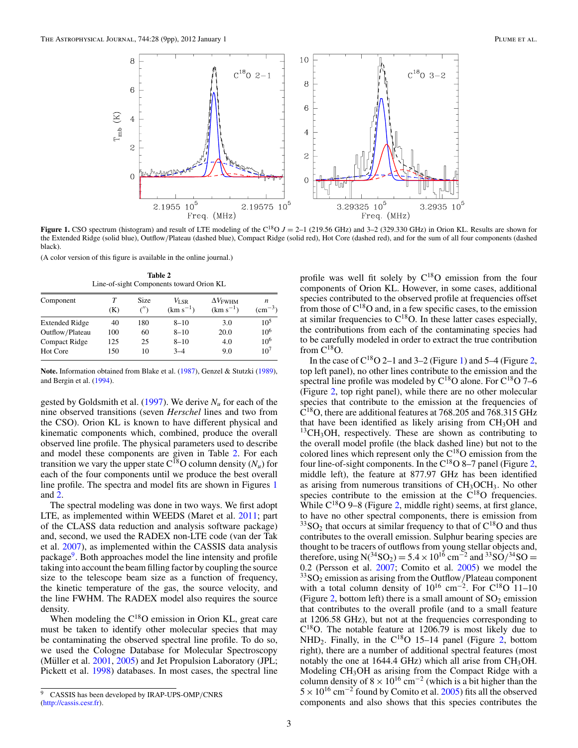<span id="page-2-0"></span>

**Figure 1.** CSO spectrum (histogram) and result of LTE modeling of the C<sup>18</sup>O  $J = 2-1$  (219.56 GHz) and 3-2 (329.330 GHz) in Orion KL. Results are shown for the Extended Ridge (solid blue), Outflow*/*Plateau (dashed blue), Compact Ridge (solid red), Hot Core (dashed red), and for the sum of all four components (dashed black).

(A color version of this figure is available in the online journal.)

**Table 2** Line-of-sight Components toward Orion KL

| Component             | (K) | <b>Size</b><br>$\sqrt{2}$ | $V_{\rm LSR}$<br>$(km s^{-1})$ | $\Delta V$ <sub>FWHM</sub><br>$(km s^{-1})$ | n<br>$\rm (cm^{-3})$ |
|-----------------------|-----|---------------------------|--------------------------------|---------------------------------------------|----------------------|
| <b>Extended Ridge</b> | 40  | 180                       | $8 - 10$                       | 3.0                                         | $10^5$               |
| Outflow/Plateau       | 100 | 60                        | $8 - 10$                       | 20.0                                        | 10 <sup>6</sup>      |
| Compact Ridge         | 125 | 25                        | $8 - 10$                       | 4.0                                         | 10 <sup>6</sup>      |
| Hot Core              | 150 | 10                        | $3-4$                          | 9.0                                         | 10 <sup>7</sup>      |

**Note.** Information obtained from Blake et al. [\(1987\)](#page-8-0), Genzel & Stutzki [\(1989\)](#page-8-0), and Bergin et al. [\(1994\)](#page-8-0).

gested by Goldsmith et al. [\(1997\)](#page-8-0). We derive *Nu* for each of the nine observed transitions (seven *Herschel* lines and two from the CSO). Orion KL is known to have different physical and kinematic components which, combined, produce the overall observed line profile. The physical parameters used to describe and model these components are given in Table 2. For each transition we vary the upper state  $C^{18}O$  column density  $(N_u)$  for each of the four components until we produce the best overall line profile. The spectra and model fits are shown in Figures 1 and [2.](#page-3-0)

The spectral modeling was done in two ways. We first adopt LTE, as implemented within WEEDS (Maret et al. [2011;](#page-8-0) part of the CLASS data reduction and analysis software package) and, second, we used the RADEX non-LTE code (van der Tak et al. [2007\)](#page-8-0), as implemented within the CASSIS data analysis package<sup>9</sup>. Both approaches model the line intensity and profile taking into account the beam filling factor by coupling the source size to the telescope beam size as a function of frequency, the kinetic temperature of the gas, the source velocity, and the line FWHM. The RADEX model also requires the source density.

When modeling the  $C^{18}O$  emission in Orion KL, great care must be taken to identify other molecular species that may be contaminating the observed spectral line profile. To do so, we used the Cologne Database for Molecular Spectroscopy (Müller et al.  $2001$ ,  $2005$ ) and Jet Propulsion Laboratory (JPL; Pickett et al. [1998\)](#page-8-0) databases. In most cases, the spectral line

profile was well fit solely by  $C^{18}O$  emission from the four components of Orion KL. However, in some cases, additional species contributed to the observed profile at frequencies offset from those of  $C^{18}O$  and, in a few specific cases, to the emission at similar frequencies to  $C^{18}O$ . In these latter cases especially, the contributions from each of the contaminating species had to be carefully modeled in order to extract the true contribution from  $C^{18}O$ .

In the case of  $C^{18}O$  2–1 and 3–2 (Figure 1) and 5–4 (Figure [2,](#page-3-0) top left panel), no other lines contribute to the emission and the spectral line profile was modeled by  $C^{18}O$  alone. For  $C^{18}O$  7–6 (Figure [2,](#page-3-0) top right panel), while there are no other molecular species that contribute to the emission at the frequencies of  $C^{18}$ O, there are additional features at 768.205 and 768.315 GHz that have been identified as likely arising from  $CH<sub>3</sub>OH$  and  $13CH<sub>3</sub>OH$ , respectively. These are shown as contributing to the overall model profile (the black dashed line) but not to the colored lines which represent only the  $C^{18}O$  emission from the four line-of-sight components. In the  $C^{18}O$  8–7 panel (Figure [2,](#page-3-0) middle left), the feature at 877.97 GHz has been identified as arising from numerous transitions of  $CH<sub>3</sub>OCH<sub>3</sub>$ . No other species contribute to the emission at the  $C^{18}O$  frequencies. While  $C^{18}O$  9–8 (Figure [2,](#page-3-0) middle right) seems, at first glance, to have no other spectral components, there is emission from  $33$ SO<sub>2</sub> that occurs at similar frequency to that of  $C^{18}$ O and thus contributes to the overall emission. Sulphur bearing species are thought to be tracers of outflows from young stellar objects and, therefore, using N( $^{34}SO_2$ ) = 5.4 × 10<sup>16</sup> cm<sup>-2</sup> and  $^{33}SO/{}^{34}SO =$ 0.2 (Persson et al. [2007;](#page-8-0) Comito et al. [2005\)](#page-8-0) we model the  $33$ SO<sub>2</sub> emission as arising from the Outflow/Plateau component with a total column density of  $10^{16}$  cm<sup>-2</sup>. For C<sup>18</sup>O 11–10 (Figure [2,](#page-3-0) bottom left) there is a small amount of  $SO_2$  emission that contributes to the overall profile (and to a small feature at 1206.58 GHz), but not at the frequencies corresponding to  $C^{18}O$ . The notable feature at 1206.79 is most likely due to NHD<sub>2</sub>. Finally, in the  $C^{18}O$  15–14 panel (Figure [2,](#page-3-0) bottom right), there are a number of additional spectral features (most notably the one at 1644.4 GHz) which all arise from  $CH<sub>3</sub>OH$ . Modeling CH<sub>3</sub>OH as arising from the Compact Ridge with a column density of  $8 \times 10^{16}$  cm<sup>-2</sup> (which is a bit higher than the  $5 \times 10^{16}$  cm<sup>-2</sup> found by Comito et al. [2005\)](#page-8-0) fits all the observed components and also shows that this species contributes the

<sup>9</sup> CASSIS has been developed by IRAP-UPS-OMP*/*CNRS [\(http://cassis.cesr.fr\)](http://cassis.cesr.fr).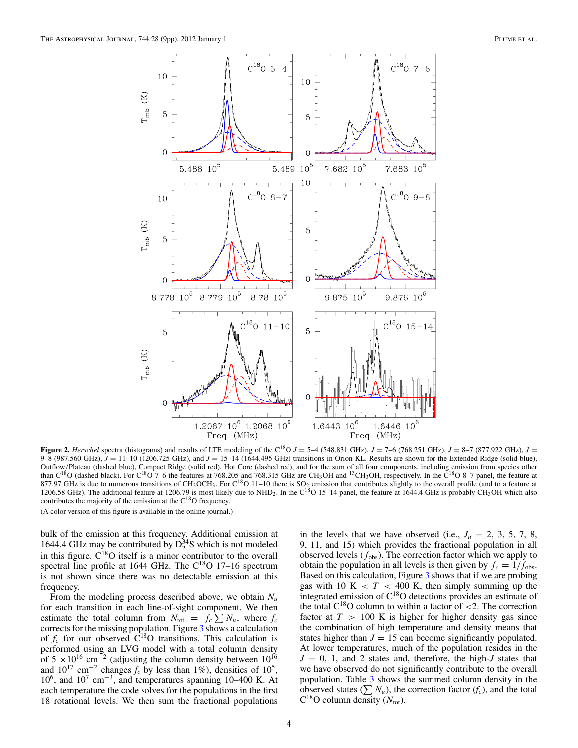<span id="page-3-0"></span>

**Figure 2.** *Herschel* spectra (histograms) and results of LTE modeling of the C<sup>18</sup>O  $J = 5-4$  (548.831 GHz),  $J = 7-6$  (768.251 GHz),  $J = 8-7$  (877.922 GHz),  $J = 7$ 9–8 (987.560 GHz),  $J = 11-10$  (1206.725 GHz), and  $J = 15-14$  (1644.495 GHz) transitions in Orion KL. Results are shown for the Extended Ridge (solid blue), Outflow*/*Plateau (dashed blue), Compact Ridge (solid red), Hot Core (dashed red), and for the sum of all four components, including emission from species other than  $C^{18}O$  (dashed black). For  $C^{18}O$  7–6 the features at 768.205 and 768.315 GHz are CH<sub>3</sub>OH and <sup>13</sup>CH<sub>3</sub>OH, respectively. In the  $C^{18}O$  8–7 panel, the feature at 877.97 GHz is due to numerous transitions of CH<sub>3</sub>OCH<sub>3</sub>. For C<sup>18</sup>O 11–10 there is SO<sub>2</sub> emission that contributes slightly to the overall profile (and to a feature at 1206.58 GHz). The additional feature at 1206.79 is most likely due to NHD<sub>2</sub>. In the C<sup>18</sup>O 15–14 panel, the feature at 1644.4 GHz is probably CH<sub>3</sub>OH which also contributes the majority of the emission at the  $C^{18}O$  frequency.

(A color version of this figure is available in the online journal.)

bulk of the emission at this frequency. Additional emission at 1644.4 GHz may be contributed by  $D_2^{34}$ S which is not modeled in this figure.  $C^{18}O$  itself is a minor contributor to the overall spectral line profile at 1644 GHz. The  $C^{18}O$  17-16 spectrum is not shown since there was no detectable emission at this frequency.

From the modeling process described above, we obtain  $N_u$ for each transition in each line-of-sight component. We then estimate the total column from  $N_{\text{tot}} = f_c \sum N_u$ , where  $f_c$ corrects for the missing population. Figure [3](#page-4-0) shows a calculation of  $f_c$  for our observed  $\overrightarrow{C}^{18}O$  transitions. This calculation is performed using an LVG model with a total column density of 5 × 10<sup>16</sup> cm<sup>-2</sup> (adjusting the column density between 10<sup>16</sup> and  $10^{17}$  cm<sup>-2</sup> changes  $f_c$  by less than 1%), densities of  $10^5$ ,  $10^6$ , and  $10^7$  cm<sup>-3</sup>, and temperatures spanning 10–400 K. At each temperature the code solves for the populations in the first 18 rotational levels. We then sum the fractional populations

in the levels that we have observed (i.e.,  $J_u = 2, 3, 5, 7, 8$ , 9, 11, and 15) which provides the fractional population in all observed levels  $(f_{obs})$ . The correction factor which we apply to obtain the population in all levels is then given by  $f_c = 1/f_{obs}$ . Based on this calculation, Figure [3](#page-4-0) shows that if we are probing gas with 10 K  $\langle T \rangle$  400 K, then simply summing up the integrated emission of C18O detections provides an estimate of the total C18O column to within a factor of *<*2. The correction factor at  $T > 100$  K is higher for higher density gas since the combination of high temperature and density means that states higher than  $J = 15$  can become significantly populated. At lower temperatures, much of the population resides in the  $J = 0$ , 1, and 2 states and, therefore, the high-*J* states that we have observed do not significantly contribute to the overall population. Table [3](#page-4-0) shows the summed column density in the observed states  $(\sum N_u)$ , the correction factor  $(f_c)$ , and the total  $C^{18}$ O column density ( $N_{\text{tot}}$ ).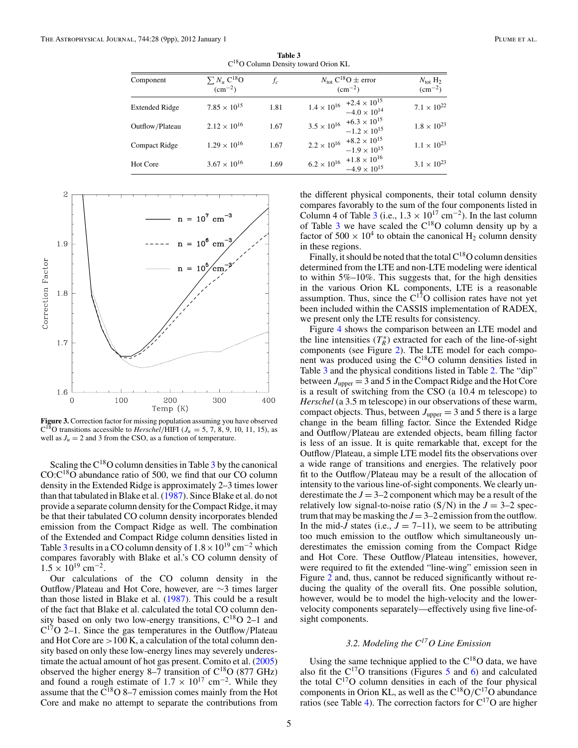<span id="page-4-0"></span>

| Component             | $\sum N_u C^{18}O$<br>$\rm (cm^{-2})$ | fc   | $N_{\text{tot}} C^{18}O \pm \text{error}$<br>$\rm (cm^{-2})$        | $N_{\text{tot}}$ H <sub>2</sub><br>$\rm (cm^{-2})$ |
|-----------------------|---------------------------------------|------|---------------------------------------------------------------------|----------------------------------------------------|
| <b>Extended Ridge</b> | $7.85 \times 10^{15}$                 | 1.81 | $1.4 \times 10^{16}$ +2.4 $\times 10^{15}$<br>$-4.0 \times 10^{14}$ | $7.1 \times 10^{22}$                               |
| Outflow/Plateau       | $2.12 \times 10^{16}$                 | 1.67 | $3.5 \times 10^{16}$ +6.3 $\times 10^{15}$<br>$-1.2 \times 10^{15}$ | $1.8 \times 10^{23}$                               |
| <b>Compact Ridge</b>  | $1.29 \times 10^{16}$                 | 1.67 | $2.2 \times 10^{16}$ +8.2 $\times 10^{15}$<br>$-1.9 \times 10^{15}$ | $1.1 \times 10^{23}$                               |
| Hot Core              | $3.67 \times 10^{16}$                 | 1.69 | $6.2 \times 10^{16}$ $+1.8 \times 10^{16}$<br>$-4.9 \times 10^{15}$ | $3.1 \times 10^{23}$                               |

**Table 3** C18O Column Density toward Orion KL



**Figure 3.** Correction factor for missing population assuming you have observed  $C^{18}$ O transitions accessible to *Herschel*/HIFI ( $J_u = 5, 7, 8, 9, 10, 11, 15$ ), as well as  $J_u = 2$  and 3 from the CSO, as a function of temperature.

Scaling the  $C^{18}O$  column densities in Table 3 by the canonical  $CO:C^{18}O$  abundance ratio of 500, we find that our CO column density in the Extended Ridge is approximately 2–3 times lower than that tabulated in Blake et al. [\(1987\)](#page-8-0). Since Blake et al. do not provide a separate column density for the Compact Ridge, it may be that their tabulated CO column density incorporates blended emission from the Compact Ridge as well. The combination of the Extended and Compact Ridge column densities listed in Table 3 results in a CO column density of  $1.8 \times 10^{19}$  cm<sup>-2</sup> which compares favorably with Blake et al.'s CO column density of  $1.5 \times 10^{19}$  cm<sup>-2</sup>.

Our calculations of the CO column density in the Outflow*/*Plateau and Hot Core, however, are ∼3 times larger than those listed in Blake et al. [\(1987\)](#page-8-0). This could be a result of the fact that Blake et al. calculated the total CO column density based on only two low-energy transitions,  $C^{18}O$  2–1 and C17O 2–1. Since the gas temperatures in the Outflow*/*Plateau and Hot Core are *>*100 K, a calculation of the total column density based on only these low-energy lines may severely underestimate the actual amount of hot gas present. Comito et al. [\(2005\)](#page-8-0) observed the higher energy 8–7 transition of  $C^{18}O$  (877 GHz) and found a rough estimate of  $1.7 \times 10^{17}$  cm<sup>-2</sup>. While they assume that the  $\tilde{C}^{18}O$  8–7 emission comes mainly from the Hot Core and make no attempt to separate the contributions from

the different physical components, their total column density compares favorably to the sum of the four components listed in Column 4 of Table 3 (i.e.,  $1.3 \times 10^{17}$  cm<sup>-2</sup>). In the last column of Table 3 we have scaled the  $C^{18}O$  column density up by a factor of 500  $\times$  10<sup>4</sup> to obtain the canonical H<sub>2</sub> column density in these regions.

Finally, it should be noted that the total  $C^{18}O$  column densities determined from the LTE and non-LTE modeling were identical to within 5%–10%. This suggests that, for the high densities in the various Orion KL components, LTE is a reasonable assumption. Thus, since the  $C^{17}O$  collision rates have not yet been included within the CASSIS implementation of RADEX, we present only the LTE results for consistency.

Figure [4](#page-5-0) shows the comparison between an LTE model and the line intensities  $(T_R^*)$  extracted for each of the line-of-sight components (see Figure [2\)](#page-3-0). The LTE model for each component was produced using the C18O column densities listed in Table 3 and the physical conditions listed in Table [2.](#page-2-0) The "dip" between  $J_{\text{upper}} = 3$  and 5 in the Compact Ridge and the Hot Core is a result of switching from the CSO (a 10.4 m telescope) to *Herschel* (a 3.5 m telescope) in our observations of these warm, compact objects. Thus, between  $J_{\text{upper}} = 3$  and 5 there is a large change in the beam filling factor. Since the Extended Ridge and Outflow*/*Plateau are extended objects, beam filling factor is less of an issue. It is quite remarkable that, except for the Outflow*/*Plateau, a simple LTE model fits the observations over a wide range of transitions and energies. The relatively poor fit to the Outflow*/*Plateau may be a result of the allocation of intensity to the various line-of-sight components. We clearly underestimate the  $J = 3-2$  component which may be a result of the relatively low signal-to-noise ratio  $(S/N)$  in the  $J = 3-2$  spectrum that may be masking the  $J = 3-2$  emission from the outflow. In the mid-*J* states (i.e.,  $J = 7{\text -}11$ ), we seem to be attributing too much emission to the outflow which simultaneously underestimates the emission coming from the Compact Ridge and Hot Core. These Outflow*/*Plateau intensities, however, were required to fit the extended "line-wing" emission seen in Figure [2](#page-3-0) and, thus, cannot be reduced significantly without reducing the quality of the overall fits. One possible solution, however, would be to model the high-velocity and the lowervelocity components separately—effectively using five line-ofsight components.

# *3.2. Modeling the C17O Line Emission*

Using the same technique applied to the  $C^{18}O$  data, we have also fit the  $C^{17}O$  transitions (Figures [5](#page-6-0) and [6\)](#page-7-0) and calculated the total  $C^{17}O$  column densities in each of the four physical components in Orion KL, as well as the  $C^{18}O/C^{17}O$  abundance ratios (see Table [4\)](#page-5-0). The correction factors for  $C^{17}O$  are higher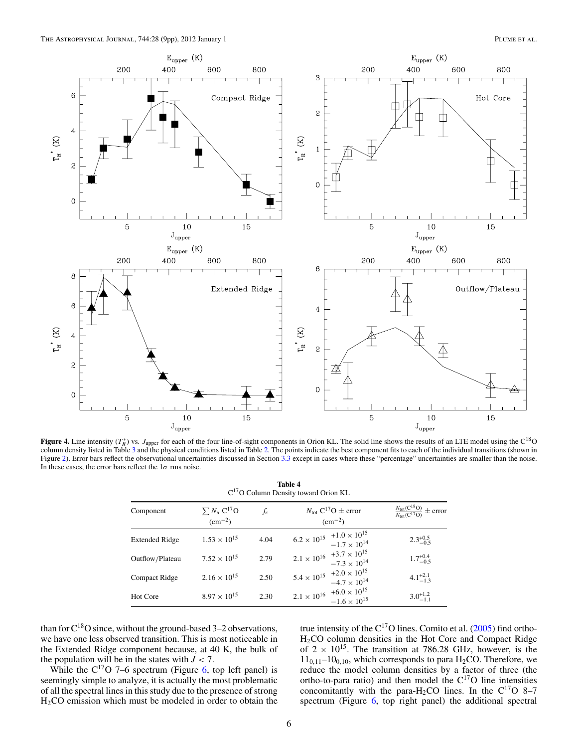<span id="page-5-0"></span>

**Figure 4.** Line intensity  $(T_R^*)$  vs. *J*<sub>upper</sub> for each of the four line-of-sight components in Orion KL. The solid line shows the results of an LTE model using the  $C^{18}O$ column density listed in Table [3](#page-4-0) and the physical conditions listed in Table [2.](#page-2-0) The points indicate the best component fits to each of the individual transitions (shown in Figure [2\)](#page-3-0). Error bars reflect the observational uncertainties discussed in Section [3.3](#page-6-0) except in cases where these "percentage" uncertainties are smaller than the noise. In these cases, the error bars reflect the 1*σ* rms noise.

# **Table 4** C17O Column Density toward Orion KL

| Component             | $\sum N_u C^{17}O$<br>$\rm (cm^{-2})$ | $f_c$ | $N_{\text{tot}} C^{17}O \pm$ error<br>$\rm (cm^{-2})$               | $\frac{N_{\text{tot}}(C^{18}O)}{N_{\text{tot}}(C^{17}O)} \pm$ error |
|-----------------------|---------------------------------------|-------|---------------------------------------------------------------------|---------------------------------------------------------------------|
| <b>Extended Ridge</b> | $1.53 \times 10^{15}$                 | 4.04  | $6.2 \times 10^{15}$ $+1.0 \times 10^{15}$<br>$-1.7 \times 10^{14}$ | $2.3^{+0.5}_{-0.5}$                                                 |
| Outflow/Plateau       | $7.52 \times 10^{15}$                 | 2.79  | $2.1 \times 10^{16}$ $+3.7 \times 10^{15}$<br>$-7.3 \times 10^{14}$ | $1.7^{+0.4}_{-0.5}$                                                 |
| Compact Ridge         | $2.16 \times 10^{15}$                 | 2.50  | $5.4 \times 10^{15}$ $+2.0 \times 10^{15}$<br>$-4.7 \times 10^{14}$ | $4.1_{-1.3}^{+2.1}$                                                 |
| Hot Core              | $8.97 \times 10^{15}$                 | 2.30  | $2.1 \times 10^{16}$ +6.0 $\times 10^{15}$<br>$-1.6 \times 10^{15}$ | $3.0^{+1.2}_{-1.1}$                                                 |

than for  $C^{18}O$  since, without the ground-based 3–2 observations, we have one less observed transition. This is most noticeable in the Extended Ridge component because, at 40 K, the bulk of the population will be in the states with  $J < 7$ .

While the  $C^{17}O$  7–6 spectrum (Figure [6,](#page-7-0) top left panel) is seemingly simple to analyze, it is actually the most problematic of all the spectral lines in this study due to the presence of strong H2CO emission which must be modeled in order to obtain the

true intensity of the  $C^{17}O$  lines. Comito et al. [\(2005\)](#page-8-0) find ortho-H2CO column densities in the Hot Core and Compact Ridge of  $2 \times 10^{15}$ . The transition at 786.28 GHz, however, is the  $11<sub>0,11</sub>–10<sub>0,10</sub>$ , which corresponds to para H<sub>2</sub>CO. Therefore, we reduce the model column densities by a factor of three (the ortho-to-para ratio) and then model the C17O line intensities concomitantly with the para-H<sub>2</sub>CO lines. In the C<sup>17</sup>O 8–7 spectrum (Figure [6,](#page-7-0) top right panel) the additional spectral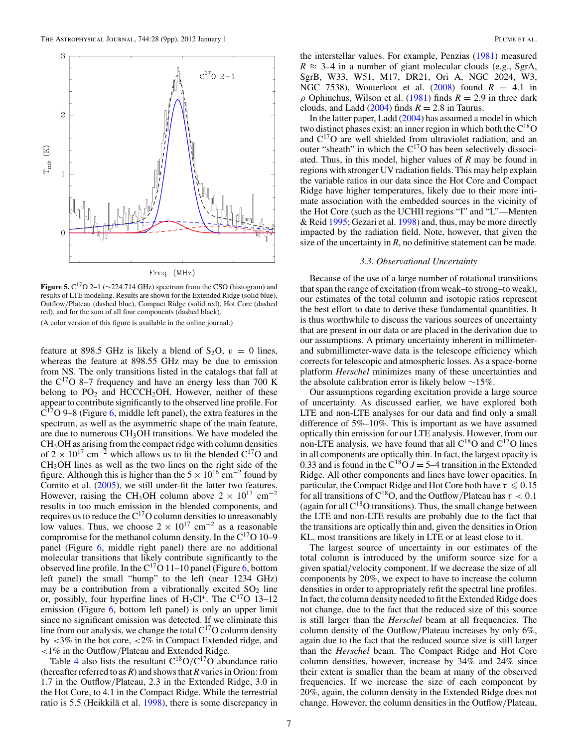<span id="page-6-0"></span>

**Figure 5.**  $C^{17}O$  2–1 ( $\sim$ 224.714 GHz) spectrum from the CSO (histogram) and results of LTE modeling. Results are shown for the Extended Ridge (solid blue), Outflow*/*Plateau (dashed blue), Compact Ridge (solid red), Hot Core (dashed red), and for the sum of all four components (dashed black). (A color version of this figure is available in the online journal.)

feature at 898.5 GHz is likely a blend of  $S_2O$ ,  $v = 0$  lines, whereas the feature at 898.55 GHz may be due to emission from NS. The only transitions listed in the catalogs that fall at the  $C^{17}O$  8–7 frequency and have an energy less than 700 K belong to  $PO_2$  and  $HCCCH_2OH$ . However, neither of these appear to contribute significantly to the observed line profile. For  $C^{17}O$  9–8 (Figure [6,](#page-7-0) middle left panel), the extra features in the spectrum, as well as the asymmetric shape of the main feature, are due to numerous  $CH<sub>3</sub>OH$  transitions. We have modeled the  $CH<sub>3</sub>OH$  as arising from the compact ridge with column densities of  $2 \times 10^{17}$  cm<sup>-2</sup> which allows us to fit the blended C<sup>17</sup>O and CH3OH lines as well as the two lines on the right side of the figure. Although this is higher than the  $5 \times 10^{16}$  cm<sup>-2</sup> found by Comito et al. [\(2005\)](#page-8-0), we still under-fit the latter two features. However, raising the CH<sub>3</sub>OH column above  $2 \times 10^{17}$  cm<sup>-2</sup> results in too much emission in the blended components, and requires us to reduce the  $C^{17}O$  column densities to unreasonably low values. Thus, we choose  $2 \times 10^{17}$  cm<sup>-2</sup> as a reasonable compromise for the methanol column density. In the  $C^{17}O$  10–9 panel (Figure [6,](#page-7-0) middle right panel) there are no additional molecular transitions that likely contribute significantly to the observed line profile. In the  $C^{17}O$  11–10 panel (Figure [6,](#page-7-0) bottom left panel) the small "hump" to the left (near 1234 GHz) may be a contribution from a vibrationally excited  $SO_2$  line or, possibly, four hyperfine lines of  $H_2Cl^+$ . The  $C^{17}O$  13–12 emission (Figure  $6$ , bottom left panel) is only an upper limit since no significant emission was detected. If we eliminate this line from our analysis, we change the total  $C^{17}O$  column density by *<*3% in the hot core, *<*2% in Compact Extended ridge, and *<*1% in the Outflow*/*Plateau and Extended Ridge.

Table [4](#page-5-0) also lists the resultant  $C^{18}O/C^{17}O$  abundance ratio (hereafter referred to as *R*) and shows that *R* varies in Orion: from 1.7 in the Outflow*/*Plateau, 2.3 in the Extended Ridge, 3.0 in the Hot Core, to 4.1 in the Compact Ridge. While the terrestrial ratio is 5.5 (Heikkilä et al. [1998\)](#page-8-0), there is some discrepancy in

the interstellar values. For example, Penzias [\(1981\)](#page-8-0) measured  $R \approx 3-4$  in a number of giant molecular clouds (e.g., SgrA, SgrB, W33, W51, M17, DR21, Ori A, NGC 2024, W3, NGC 7538), Wouterloot et al.  $(2008)$  found  $R = 4.1$  in *ρ* Ophiuchus, Wilson et al. [\(1981\)](#page-8-0) finds  $R = 2.9$  in three dark clouds, and Ladd  $(2004)$  finds  $R = 2.8$  in Taurus.

In the latter paper, Ladd [\(2004\)](#page-8-0) has assumed a model in which two distinct phases exist: an inner region in which both the  $C^{18}O$ and  $C^{17}O$  are well shielded from ultraviolet radiation, and an outer "sheath" in which the  $C^{17}O$  has been selectively dissociated. Thus, in this model, higher values of *R* may be found in regions with stronger UV radiation fields. This may help explain the variable ratios in our data since the Hot Core and Compact Ridge have higher temperatures, likely due to their more intimate association with the embedded sources in the vicinity of the Hot Core (such as the UCHII regions "I" and "L"—Menten & Reid [1995;](#page-8-0) Gezari et al. [1998\)](#page-8-0) and, thus, may be more directly impacted by the radiation field. Note, however, that given the size of the uncertainty in *, no definitive statement can be made.* 

#### *3.3. Observational Uncertainty*

Because of the use of a large number of rotational transitions that span the range of excitation (from weak–to strong–to weak), our estimates of the total column and isotopic ratios represent the best effort to date to derive these fundamental quantities. It is thus worthwhile to discuss the various sources of uncertainty that are present in our data or are placed in the derivation due to our assumptions. A primary uncertainty inherent in millimeterand submillimeter-wave data is the telescope efficiency which corrects for telescopic and atmospheric losses. As a space-borne platform *Herschel* minimizes many of these uncertainties and the absolute calibration error is likely below ∼15%.

Our assumptions regarding excitation provide a large source of uncertainty. As discussed earlier, we have explored both LTE and non-LTE analyses for our data and find only a small difference of 5%–10%. This is important as we have assumed optically thin emission for our LTE analysis. However, from our non-LTE analysis, we have found that all  $C^{18}O$  and  $C^{17}O$  lines in all components are optically thin. In fact, the largest opacity is 0.33 and is found in the C<sup>18</sup>O  $J = 5-4$  transition in the Extended Ridge. All other components and lines have lower opacities. In particular, the Compact Ridge and Hot Core both have  $\tau \leq 0.15$ for all transitions of  $C^{18}O$ , and the Outflow/Plateau has  $\tau < 0.1$ (again for all  $C^{18}O$  transitions). Thus, the small change between the LTE and non-LTE results are probably due to the fact that the transitions are optically thin and, given the densities in Orion KL, most transitions are likely in LTE or at least close to it.

The largest source of uncertainty in our estimates of the total column is introduced by the uniform source size for a given spatial*/*velocity component. If we decrease the size of all components by 20%, we expect to have to increase the column densities in order to appropriately refit the spectral line profiles. In fact, the column density needed to fit the Extended Ridge does not change, due to the fact that the reduced size of this source is still larger than the *Herschel* beam at all frequencies. The column density of the Outflow*/*Plateau increases by only 6%, again due to the fact that the reduced source size is still larger than the *Herschel* beam. The Compact Ridge and Hot Core column densities, however, increase by 34% and 24% since their extent is smaller than the beam at many of the observed frequencies. If we increase the size of each component by 20%, again, the column density in the Extended Ridge does not change. However, the column densities in the Outflow*/*Plateau,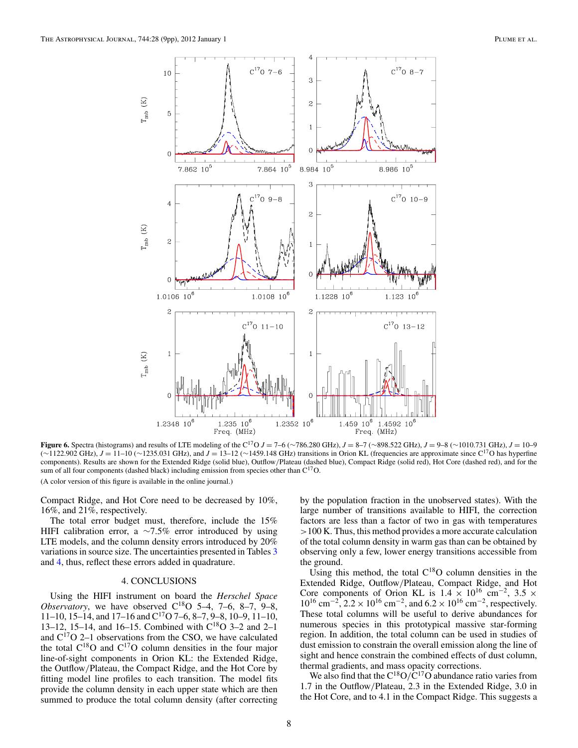<span id="page-7-0"></span>

**Figure 6.** Spectra (histograms) and results of LTE modeling of the C<sup>17</sup>O *J* = 7–6 (∼786.280 GHz), *J* = 8–7 (∼898.522 GHz), *J* = 9–8 (∼1010.731 GHz), *J* = 10–9 (∼1122.902 GHz), *<sup>J</sup>* <sup>=</sup> 11–10 (∼1235.031 GHz), and *<sup>J</sup>* <sup>=</sup> 13–12 (∼1459.148 GHz) transitions in Orion KL (frequencies are approximate since C17O has hyperfine components). Results are shown for the Extended Ridge (solid blue), Outflow*/*Plateau (dashed blue), Compact Ridge (solid red), Hot Core (dashed red), and for the sum of all four components (dashed black) including emission from species other than  $C^{17}O$ . (A color version of this figure is available in the online journal.)

Compact Ridge, and Hot Core need to be decreased by 10%, 16%, and 21%, respectively.

The total error budget must, therefore, include the 15% HIFI calibration error, a  $\sim$ 7.5% error introduced by using LTE models, and the column density errors introduced by 20% variations in source size. The uncertainties presented in Tables [3](#page-4-0) and [4,](#page-5-0) thus, reflect these errors added in quadrature.

#### 4. CONCLUSIONS

Using the HIFI instrument on board the *Herschel Space Observatory*, we have observed  $C^{18}O$  5–4, 7–6, 8–7, 9–8, 11–10, 15–14, and 17–16 and  $C^{17}O$  7–6, 8–7, 9–8, 10–9, 11–10, 13–12, 15–14, and 16–15. Combined with C18O 3–2 and 2–1 and  $C^{17}O$  2–1 observations from the CSO, we have calculated the total  $C^{18}O$  and  $C^{17}O$  column densities in the four major line-of-sight components in Orion KL: the Extended Ridge, the Outflow*/*Plateau, the Compact Ridge, and the Hot Core by fitting model line profiles to each transition. The model fits provide the column density in each upper state which are then summed to produce the total column density (after correcting by the population fraction in the unobserved states). With the large number of transitions available to HIFI, the correction factors are less than a factor of two in gas with temperatures *>*100 K. Thus, this method provides a more accurate calculation of the total column density in warm gas than can be obtained by observing only a few, lower energy transitions accessible from the ground.

Using this method, the total  $C^{18}O$  column densities in the Extended Ridge, Outflow*/*Plateau, Compact Ridge, and Hot Core components of Orion KL is  $1.4 \times 10^{16}$  cm<sup>-2</sup>,  $3.5 \times$ 1016 cm−2, 2*.*2×1016 cm−2, and 6*.*2×1016 cm−2, respectively. These total columns will be useful to derive abundances for numerous species in this prototypical massive star-forming region. In addition, the total column can be used in studies of dust emission to constrain the overall emission along the line of sight and hence constrain the combined effects of dust column, thermal gradients, and mass opacity corrections.

We also find that the  $C^{18}O/C^{17}O$  abundance ratio varies from 1.7 in the Outflow*/*Plateau, 2.3 in the Extended Ridge, 3.0 in the Hot Core, and to 4.1 in the Compact Ridge. This suggests a